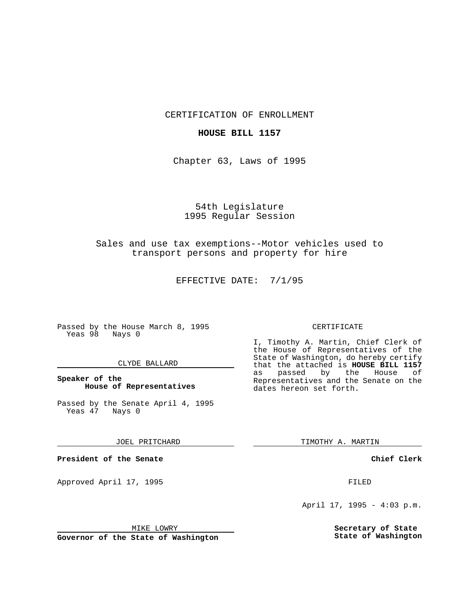CERTIFICATION OF ENROLLMENT

### **HOUSE BILL 1157**

Chapter 63, Laws of 1995

# 54th Legislature 1995 Regular Session

## Sales and use tax exemptions--Motor vehicles used to transport persons and property for hire

EFFECTIVE DATE: 7/1/95

Passed by the House March 8, 1995 Yeas 98 Nays 0

#### CLYDE BALLARD

## **Speaker of the House of Representatives**

Passed by the Senate April 4, 1995<br>Yeas 47 Nays 0 Yeas 47

#### JOEL PRITCHARD

**President of the Senate**

Approved April 17, 1995 FILED

### MIKE LOWRY

**Governor of the State of Washington**

#### CERTIFICATE

I, Timothy A. Martin, Chief Clerk of the House of Representatives of the State of Washington, do hereby certify that the attached is **HOUSE BILL 1157** as passed by the Representatives and the Senate on the dates hereon set forth.

TIMOTHY A. MARTIN

### **Chief Clerk**

April 17, 1995 - 4:03 p.m.

**Secretary of State State of Washington**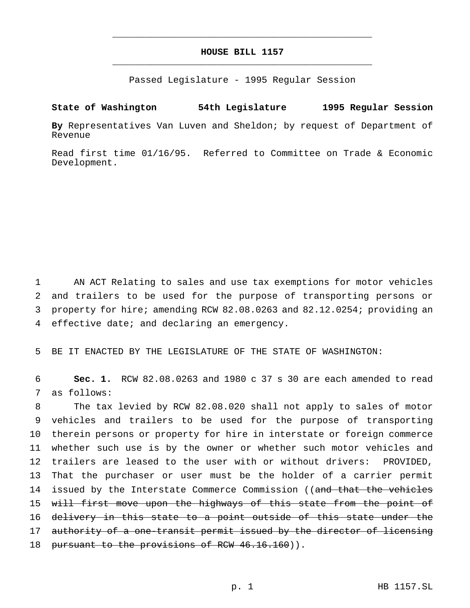# **HOUSE BILL 1157** \_\_\_\_\_\_\_\_\_\_\_\_\_\_\_\_\_\_\_\_\_\_\_\_\_\_\_\_\_\_\_\_\_\_\_\_\_\_\_\_\_\_\_\_\_\_\_

\_\_\_\_\_\_\_\_\_\_\_\_\_\_\_\_\_\_\_\_\_\_\_\_\_\_\_\_\_\_\_\_\_\_\_\_\_\_\_\_\_\_\_\_\_\_\_

Passed Legislature - 1995 Regular Session

## **State of Washington 54th Legislature 1995 Regular Session**

**By** Representatives Van Luven and Sheldon; by request of Department of Revenue

Read first time 01/16/95. Referred to Committee on Trade & Economic Development.

 AN ACT Relating to sales and use tax exemptions for motor vehicles and trailers to be used for the purpose of transporting persons or property for hire; amending RCW 82.08.0263 and 82.12.0254; providing an effective date; and declaring an emergency.

5 BE IT ENACTED BY THE LEGISLATURE OF THE STATE OF WASHINGTON:

6 **Sec. 1.** RCW 82.08.0263 and 1980 c 37 s 30 are each amended to read 7 as follows:

8 The tax levied by RCW 82.08.020 shall not apply to sales of motor 9 vehicles and trailers to be used for the purpose of transporting 10 therein persons or property for hire in interstate or foreign commerce 11 whether such use is by the owner or whether such motor vehicles and 12 trailers are leased to the user with or without drivers: PROVIDED, 13 That the purchaser or user must be the holder of a carrier permit 14 issued by the Interstate Commerce Commission ((and that the vehicles 15 will first move upon the highways of this state from the point of 16 delivery in this state to a point outside of this state under the 17 authority of a one-transit permit issued by the director of licensing 18 pursuant to the provisions of RCW 46.16.160)).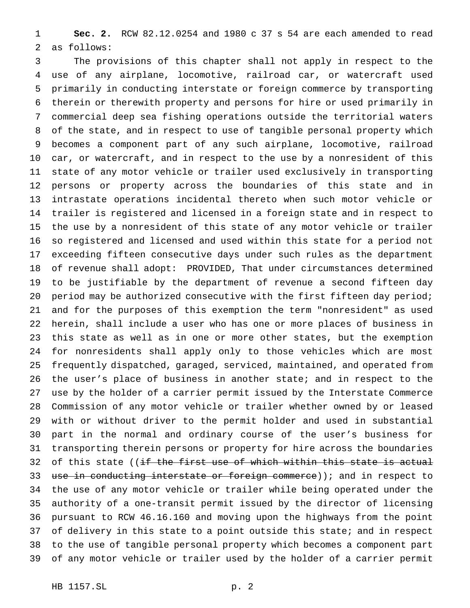**Sec. 2.** RCW 82.12.0254 and 1980 c 37 s 54 are each amended to read as follows:

 The provisions of this chapter shall not apply in respect to the use of any airplane, locomotive, railroad car, or watercraft used primarily in conducting interstate or foreign commerce by transporting therein or therewith property and persons for hire or used primarily in commercial deep sea fishing operations outside the territorial waters of the state, and in respect to use of tangible personal property which becomes a component part of any such airplane, locomotive, railroad car, or watercraft, and in respect to the use by a nonresident of this state of any motor vehicle or trailer used exclusively in transporting persons or property across the boundaries of this state and in intrastate operations incidental thereto when such motor vehicle or trailer is registered and licensed in a foreign state and in respect to the use by a nonresident of this state of any motor vehicle or trailer so registered and licensed and used within this state for a period not exceeding fifteen consecutive days under such rules as the department of revenue shall adopt: PROVIDED, That under circumstances determined to be justifiable by the department of revenue a second fifteen day 20 period may be authorized consecutive with the first fifteen day period; and for the purposes of this exemption the term "nonresident" as used herein, shall include a user who has one or more places of business in this state as well as in one or more other states, but the exemption for nonresidents shall apply only to those vehicles which are most frequently dispatched, garaged, serviced, maintained, and operated from the user's place of business in another state; and in respect to the use by the holder of a carrier permit issued by the Interstate Commerce Commission of any motor vehicle or trailer whether owned by or leased with or without driver to the permit holder and used in substantial part in the normal and ordinary course of the user's business for transporting therein persons or property for hire across the boundaries 32 of this state ((<del>if the first use of which within this state is actual</del> 33 use in conducting interstate or foreign commerce)); and in respect to the use of any motor vehicle or trailer while being operated under the authority of a one-transit permit issued by the director of licensing pursuant to RCW 46.16.160 and moving upon the highways from the point of delivery in this state to a point outside this state; and in respect to the use of tangible personal property which becomes a component part of any motor vehicle or trailer used by the holder of a carrier permit